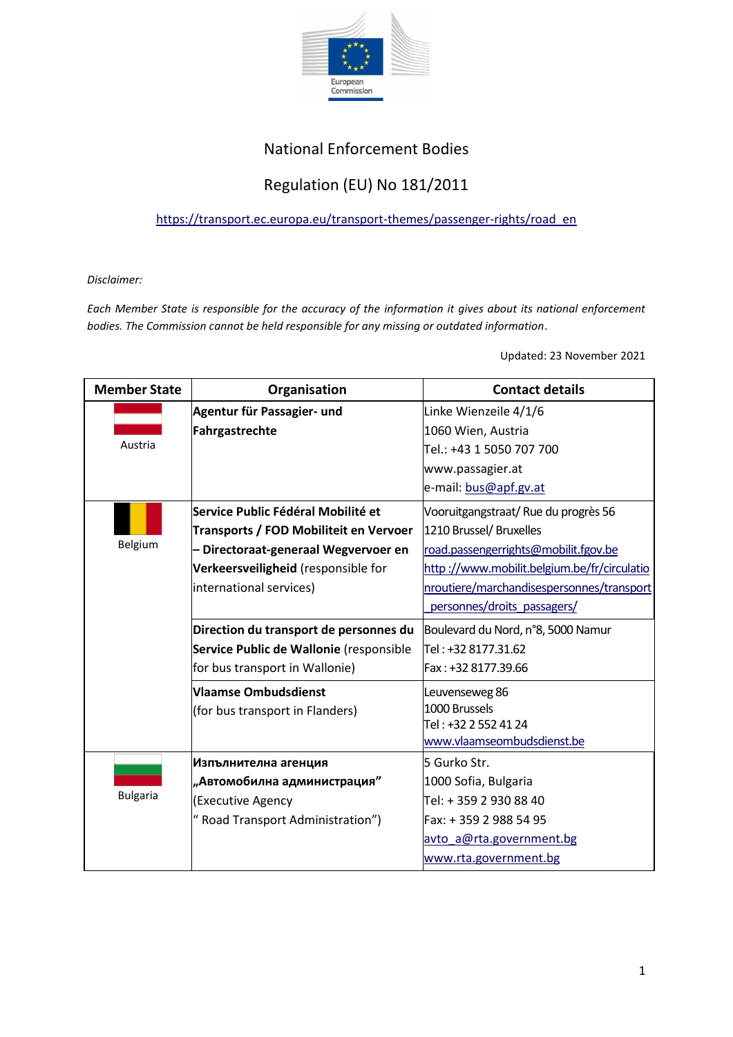

## National Enforcement Bodies

## Regulation (EU) No 181/2011

[https://transport.ec.europa.eu/transport-themes/passenger-rights/road\\_en](https://transport.ec.europa.eu/transport-themes/passenger-rights/road_en)

*Disclaimer:*

*Each Member State is responsible for the accuracy of the information it gives about its national enforcement bodies. The Commission cannot be held responsible for any missing or outdated information*.

Updated: 23 November 2021

| <b>Member State</b> | Organisation                            | <b>Contact details</b>                      |
|---------------------|-----------------------------------------|---------------------------------------------|
|                     | Agentur für Passagier- und              | Linke Wienzeile 4/1/6                       |
|                     | Fahrgastrechte                          | 1060 Wien, Austria                          |
| Austria             |                                         | Tel.: +43 1 5050 707 700                    |
|                     |                                         | www.passagier.at                            |
|                     |                                         | e-mail: bus@apf.gv.at                       |
|                     | Service Public Fédéral Mobilité et      | Vooruitgangstraat/Rue du progrès 56         |
|                     | Transports / FOD Mobiliteit en Vervoer  | 1210 Brussel/ Bruxelles                     |
| Belgium             | Directoraat-generaal Wegvervoer en      | road.passengerrights@mobilit.fgov.be        |
|                     | Verkeersveiligheid (responsible for     | http://www.mobilit.belgium.be/fr/circulatio |
|                     | international services)                 | nroutiere/marchandisespersonnes/transport   |
|                     |                                         | personnes/droits passagers/                 |
|                     | Direction du transport de personnes du  | Boulevard du Nord, n°8, 5000 Namur          |
|                     | Service Public de Wallonie (responsible | Tel: +32 8177.31.62                         |
|                     | for bus transport in Wallonie)          | Fax: +32 8177.39.66                         |
|                     | <b>Vlaamse Ombudsdienst</b>             | Leuvenseweg 86                              |
|                     | (for bus transport in Flanders)         | 1000 Brussels                               |
|                     |                                         | Tel: +32 2 552 41 24                        |
|                     |                                         | www.vlaamseombudsdienst.be                  |
|                     | Изпълнителна агенция                    | 5 Gurko Str.                                |
|                     | "Автомобилна администрация"             | 1000 Sofia, Bulgaria                        |
| <b>Bulgaria</b>     | (Executive Agency                       | Tel: +359 2930 8840                         |
|                     | " Road Transport Administration")       | Fax: +359 2988 5495                         |
|                     |                                         | avto a@rta.government.bg                    |
|                     |                                         | www.rta.government.bg                       |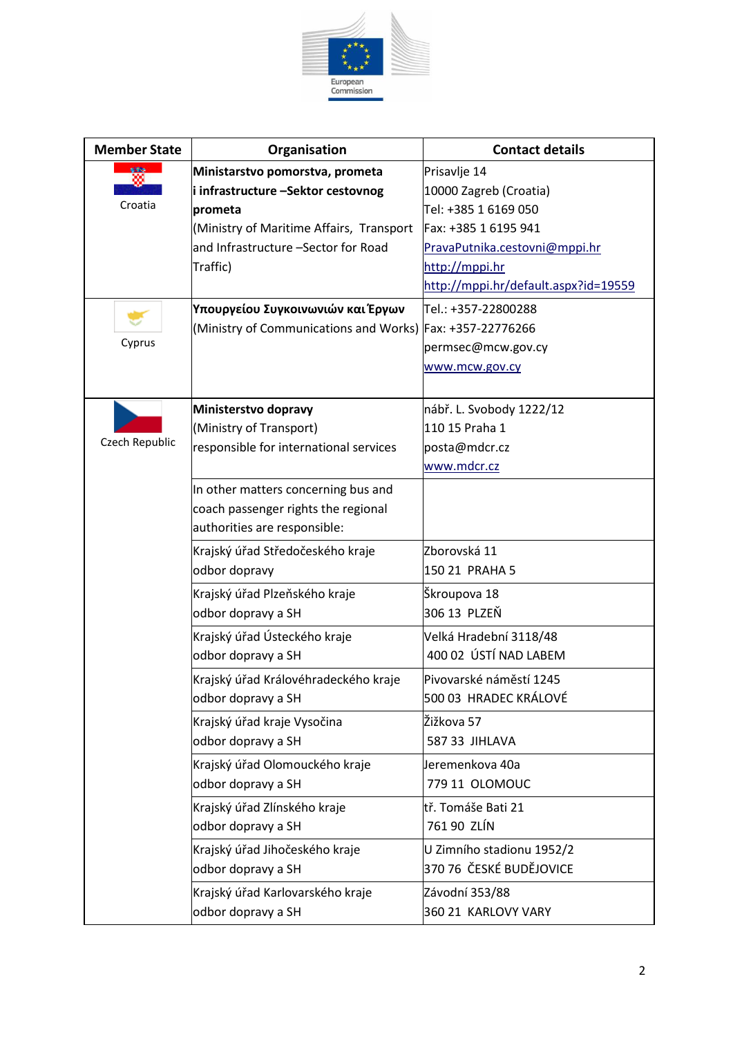

| <b>Member State</b> | Organisation                                              | <b>Contact details</b>               |
|---------------------|-----------------------------------------------------------|--------------------------------------|
| 989                 | Ministarstvo pomorstva, prometa                           | Prisavlje 14                         |
|                     | i infrastructure -Sektor cestovnog                        | 10000 Zagreb (Croatia)               |
| Croatia             | prometa                                                   | Tel: +385 1 6169 050                 |
|                     | (Ministry of Maritime Affairs, Transport                  | Fax: +385 1 6195 941                 |
|                     | and Infrastructure -Sector for Road                       | PravaPutnika.cestovni@mppi.hr        |
|                     | Traffic)                                                  | http://mppi.hr                       |
|                     |                                                           | http://mppi.hr/default.aspx?id=19559 |
|                     | Υπουργείου Συγκοινωνιών και Έργων                         | Tel.: +357-22800288                  |
|                     | (Ministry of Communications and Works) Fax: +357-22776266 |                                      |
| Cyprus              |                                                           | permsec@mcw.gov.cy                   |
|                     |                                                           | www.mcw.gov.cy                       |
|                     |                                                           |                                      |
|                     | Ministerstvo dopravy                                      | nábř. L. Svobody 1222/12             |
|                     | (Ministry of Transport)                                   | 110 15 Praha 1                       |
| Czech Republic      | responsible for international services                    | posta@mdcr.cz                        |
|                     |                                                           | www.mdcr.cz                          |
|                     | In other matters concerning bus and                       |                                      |
|                     | coach passenger rights the regional                       |                                      |
|                     | authorities are responsible:                              |                                      |
|                     | Krajský úřad Středočeského kraje                          | Zborovská 11                         |
|                     | odbor dopravy                                             | 150 21 PRAHA 5                       |
|                     | Krajský úřad Plzeňského kraje                             | Škroupova 18                         |
|                     | odbor dopravy a SH                                        | 306 13 PLZEŇ                         |
|                     | Krajský úřad Ústeckého kraje                              | Velká Hradební 3118/48               |
|                     | odbor dopravy a SH                                        | 400 02 ÚSTÍ NAD LABEM                |
|                     |                                                           |                                      |
|                     | Krajský úřad Královéhradeckého kraje                      | Pivovarské náměstí 1245              |
|                     | odbor dopravy a SH                                        | 500 03 HRADEC KRÁLOVÉ                |
|                     | Krajský úřad kraje Vysočina                               | Žižkova 57                           |
|                     | odbor dopravy a SH                                        | 587 33 JIHLAVA                       |
|                     | Krajský úřad Olomouckého kraje                            | Jeremenkova 40a                      |
|                     | odbor dopravy a SH                                        | 779 11 OLOMOUC                       |
|                     | Krajský úřad Zlínského kraje                              | tř. Tomáše Bati 21                   |
|                     | odbor dopravy a SH                                        | 761 90 ZLÍN                          |
|                     | Krajský úřad Jihočeského kraje                            | U Zimního stadionu 1952/2            |
|                     | odbor dopravy a SH                                        | 370 76 ČESKÉ BUDĚJOVICE              |
|                     | Krajský úřad Karlovarského kraje                          | Závodní 353/88                       |
|                     | odbor dopravy a SH                                        | 360 21 KARLOVY VARY                  |
|                     |                                                           |                                      |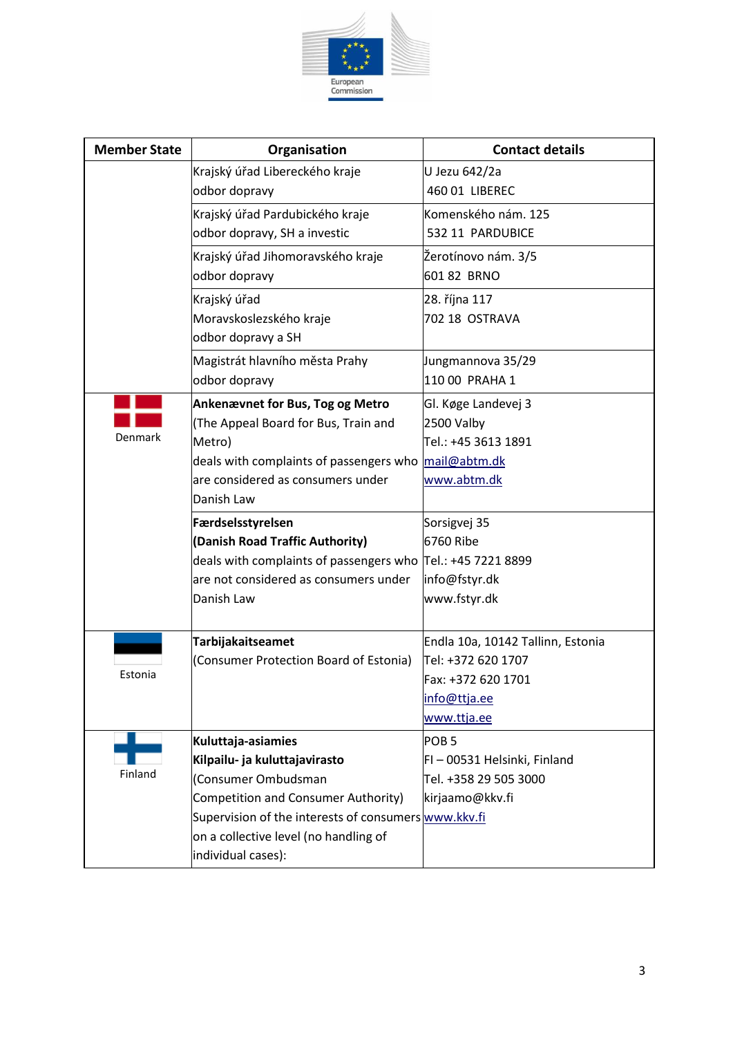

| <b>Member State</b> | Organisation                                                    | <b>Contact details</b>                                |
|---------------------|-----------------------------------------------------------------|-------------------------------------------------------|
|                     | Krajský úřad Libereckého kraje                                  | U Jezu 642/2a                                         |
|                     | odbor dopravy                                                   | 460 01 LIBEREC                                        |
|                     | Krajský úřad Pardubického kraje                                 | Komenského nám. 125                                   |
|                     | odbor dopravy, SH a investic                                    | 532 11 PARDUBICE                                      |
|                     | Krajský úřad Jihomoravského kraje                               | Žerotínovo nám. 3/5                                   |
|                     | odbor dopravy                                                   | 601 82 BRNO                                           |
|                     | Krajský úřad                                                    | 28. října 117                                         |
|                     | Moravskoslezského kraje                                         | 702 18 OSTRAVA                                        |
|                     | odbor dopravy a SH                                              |                                                       |
|                     | Magistrát hlavního města Prahy                                  | Jungmannova 35/29                                     |
|                     | odbor dopravy                                                   | 110 00 PRAHA 1                                        |
|                     | <b>Ankenævnet for Bus, Tog og Metro</b>                         | Gl. Køge Landevej 3                                   |
|                     | (The Appeal Board for Bus, Train and                            | 2500 Valby                                            |
| Denmark             | Metro)                                                          | Tel.: +45 3613 1891                                   |
|                     | deals with complaints of passengers who                         | mail@abtm.dk                                          |
|                     | are considered as consumers under                               | www.abtm.dk                                           |
|                     | Danish Law                                                      |                                                       |
|                     | Færdselsstyrelsen                                               | Sorsigvej 35                                          |
|                     | (Danish Road Traffic Authority)                                 | 6760 Ribe                                             |
|                     | deals with complaints of passengers who $ Te $ .: +45 7221 8899 |                                                       |
|                     | are not considered as consumers under                           | info@fstyr.dk                                         |
|                     | Danish Law                                                      | www.fstyr.dk                                          |
|                     |                                                                 |                                                       |
|                     | <b>Tarbijakaitseamet</b>                                        | Endla 10a, 10142 Tallinn, Estonia                     |
| Estonia             | (Consumer Protection Board of Estonia)                          | Tel: +372 620 1707                                    |
|                     |                                                                 | Fax: +372 620 1701                                    |
|                     |                                                                 | info@ttja.ee<br>www.ttja.ee                           |
|                     |                                                                 |                                                       |
|                     | Kuluttaja-asiamies                                              | POB <sub>5</sub>                                      |
| Finland             | Kilpailu- ja kuluttajavirasto<br>(Consumer Ombudsman            | FI - 00531 Helsinki, Finland<br>Tel. +358 29 505 3000 |
|                     | Competition and Consumer Authority)                             |                                                       |
|                     | Supervision of the interests of consumers www.kkv.fi            | kirjaamo@kkv.fi                                       |
|                     | on a collective level (no handling of                           |                                                       |
|                     | individual cases):                                              |                                                       |
|                     |                                                                 |                                                       |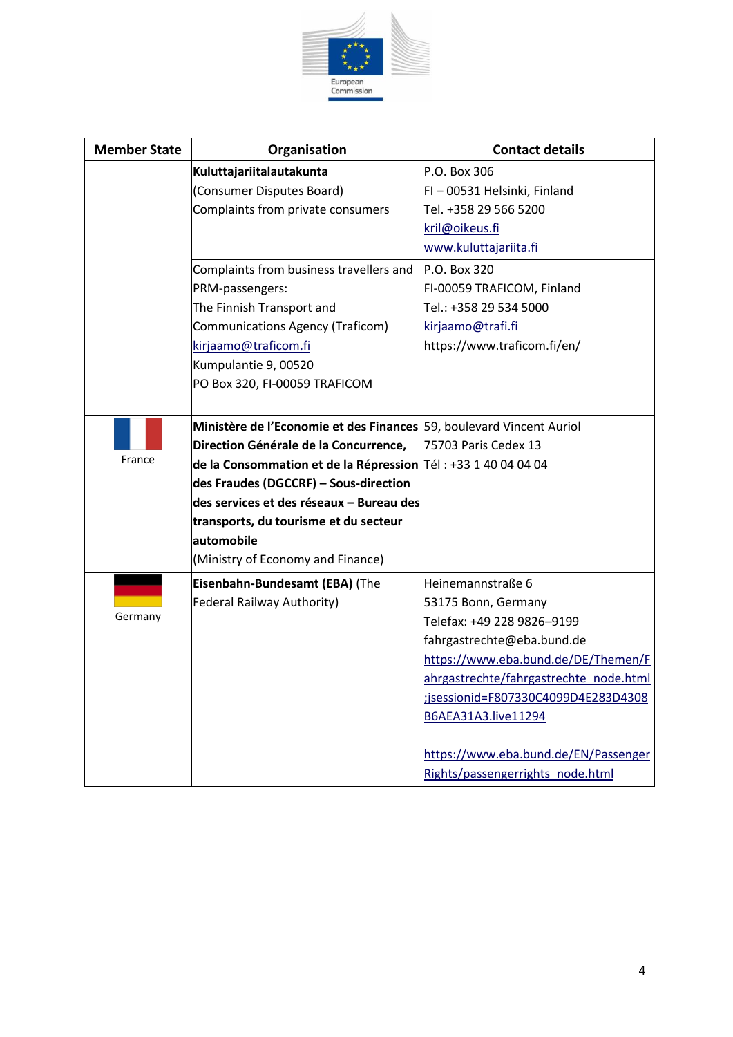

| <b>Member State</b> | Organisation                                                              | <b>Contact details</b>                 |
|---------------------|---------------------------------------------------------------------------|----------------------------------------|
|                     | Kuluttajariitalautakunta                                                  | P.O. Box 306                           |
|                     | (Consumer Disputes Board)                                                 | FI-00531 Helsinki, Finland             |
|                     | Complaints from private consumers                                         | Tel. +358 29 566 5200                  |
|                     |                                                                           | kril@oikeus.fi                         |
|                     |                                                                           | www.kuluttajariita.fi                  |
|                     | Complaints from business travellers and                                   | P.O. Box 320                           |
|                     | PRM-passengers:                                                           | FI-00059 TRAFICOM, Finland             |
|                     | The Finnish Transport and                                                 | Tel.: +358 29 534 5000                 |
|                     | Communications Agency (Traficom)                                          | kirjaamo@trafi.fi                      |
|                     | kirjaamo@traficom.fi                                                      | https://www.traficom.fi/en/            |
|                     | Kumpulantie 9, 00520                                                      |                                        |
|                     | PO Box 320, FI-00059 TRAFICOM                                             |                                        |
|                     |                                                                           |                                        |
|                     | Ministère de l'Economie et des Finances 59, boulevard Vincent Auriol      |                                        |
|                     | Direction Générale de la Concurrence,                                     | 75703 Paris Cedex 13                   |
| France              | de la Consommation et de la Répression $ T\acute{e} $ : +33 1 40 04 04 04 |                                        |
|                     | des Fraudes (DGCCRF) - Sous-direction                                     |                                        |
|                     | des services et des réseaux - Bureau des                                  |                                        |
|                     | transports, du tourisme et du secteur                                     |                                        |
|                     | automobile                                                                |                                        |
|                     | (Ministry of Economy and Finance)                                         |                                        |
|                     | Eisenbahn-Bundesamt (EBA) (The                                            | Heinemannstraße 6                      |
|                     | <b>Federal Railway Authority)</b>                                         | 53175 Bonn, Germany                    |
| Germany             |                                                                           | Telefax: +49 228 9826-9199             |
|                     |                                                                           | fahrgastrechte@eba.bund.de             |
|                     |                                                                           |                                        |
|                     |                                                                           | https://www.eba.bund.de/DE/Themen/F    |
|                     |                                                                           | ahrgastrechte/fahrgastrechte node.html |
|                     |                                                                           | ;jsessionid=F807330C4099D4E283D4308    |
|                     |                                                                           | B6AEA31A3.live11294                    |
|                     |                                                                           | https://www.eba.bund.de/EN/Passenger   |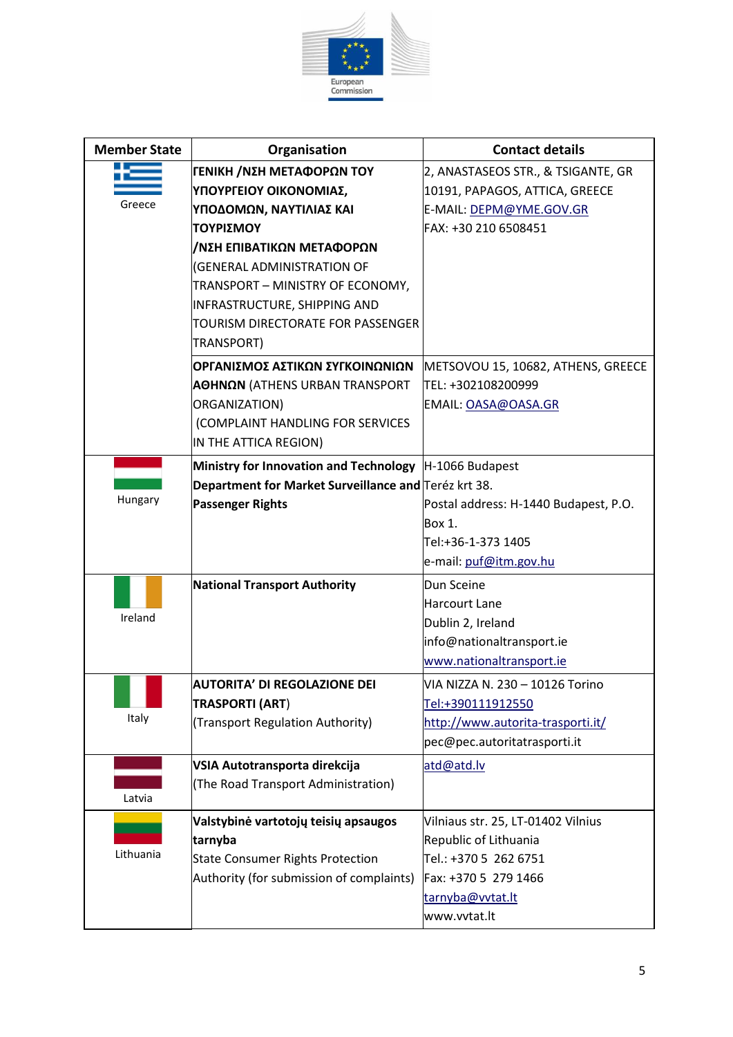

| <b>Member State</b> | Organisation                                                                                                                                                                                                                                                                  | <b>Contact details</b>                                                                                                                           |
|---------------------|-------------------------------------------------------------------------------------------------------------------------------------------------------------------------------------------------------------------------------------------------------------------------------|--------------------------------------------------------------------------------------------------------------------------------------------------|
| Greece              | ΓΕΝΙΚΗ /ΝΣΗ ΜΕΤΑΦΟΡΩΝ ΤΟΥ<br>ΥΠΟΥΡΓΕΙΟΥ ΟΙΚΟΝΟΜΙΑΣ,<br>ΥΠΟΔΟΜΩΝ, ΝΑΥΤΙΛΙΑΣ ΚΑΙ<br>ΤΟΥΡΙΣΜΟΥ<br>/ΝΣΗ ΕΠΙΒΑΤΙΚΩΝ ΜΕΤΑΦΟΡΩΝ<br>(GENERAL ADMINISTRATION OF<br>TRANSPORT - MINISTRY OF ECONOMY,<br>INFRASTRUCTURE, SHIPPING AND<br>TOURISM DIRECTORATE FOR PASSENGER<br>TRANSPORT) | 2, ANASTASEOS STR., & TSIGANTE, GR<br>10191, PAPAGOS, ATTICA, GREECE<br>E-MAIL: DEPM@YME.GOV.GR<br>FAX: +30 210 6508451                          |
|                     | ΟΡΓΑΝΙΣΜΟΣ ΑΣΤΙΚΩΝ ΣΥΓΚΟΙΝΩΝΙΩΝ<br><b>ΑΘΗΝΩΝ</b> (ATHENS URBAN TRANSPORT<br>ORGANIZATION)<br>(COMPLAINT HANDLING FOR SERVICES<br>IN THE ATTICA REGION)                                                                                                                        | METSOVOU 15, 10682, ATHENS, GREECE<br>TEL: +302108200999<br>EMAIL: OASA@OASA.GR                                                                  |
| Hungary             | Ministry for Innovation and Technology  H-1066 Budapest<br>Department for Market Surveillance and Teréz krt 38.<br><b>Passenger Rights</b>                                                                                                                                    | Postal address: H-1440 Budapest, P.O.<br>Box 1.<br>Tel:+36-1-373 1405<br>e-mail: puf@itm.gov.hu                                                  |
| Ireland             | <b>National Transport Authority</b>                                                                                                                                                                                                                                           | Dun Sceine<br><b>Harcourt Lane</b><br>Dublin 2, Ireland<br>info@nationaltransport.ie<br>www.nationaltransport.ie                                 |
| Italy               | AUTORITA' DI REGOLAZIONE DEI<br><b>TRASPORTI (ART)</b><br>(Transport Regulation Authority)                                                                                                                                                                                    | VIA NIZZA N. 230 – 10126 Torino<br>Tel:+390111912550<br>http://www.autorita-trasporti.it/<br>pec@pec.autoritatrasporti.it                        |
| Latvia              | VSIA Autotransporta direkcija<br>(The Road Transport Administration)                                                                                                                                                                                                          | atd@atd.lv                                                                                                                                       |
| Lithuania           | Valstybinė vartotojų teisių apsaugos<br>tarnyba<br><b>State Consumer Rights Protection</b><br>Authority (for submission of complaints)                                                                                                                                        | Vilniaus str. 25, LT-01402 Vilnius<br>Republic of Lithuania<br>Tel.: +370 5 262 6751<br>Fax: +370 5 279 1466<br>tarnyba@vvtat.lt<br>www.vvtat.lt |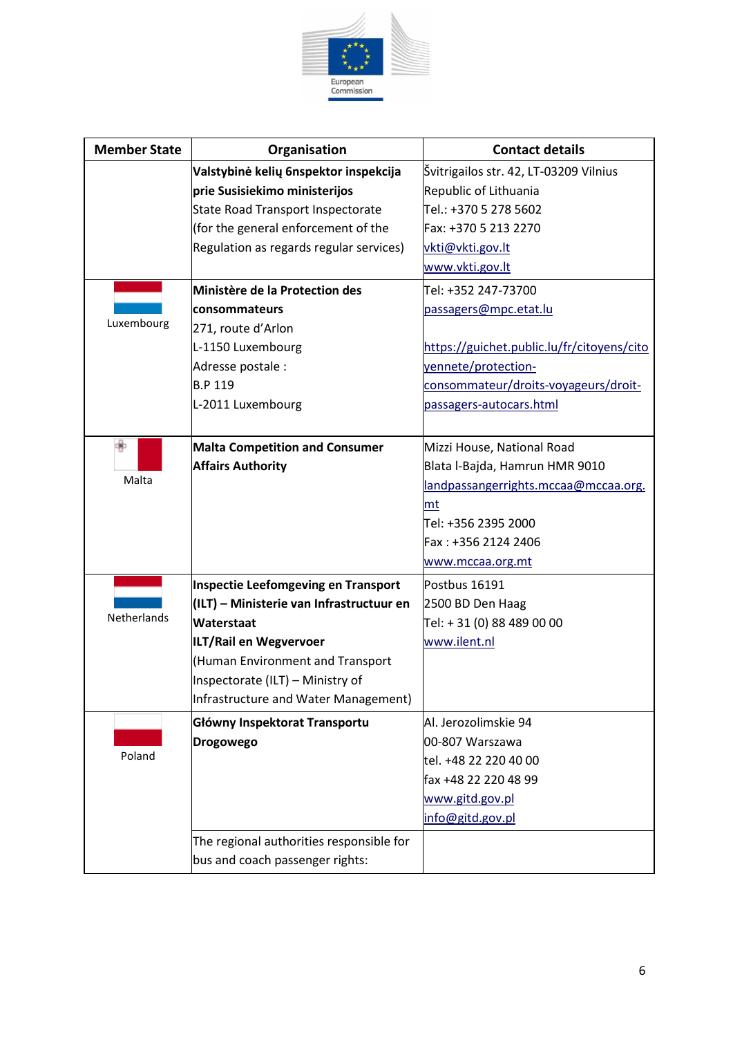

| <b>Member State</b> | Organisation                             | <b>Contact details</b>                     |
|---------------------|------------------------------------------|--------------------------------------------|
|                     | Valstybinė kelių 6nspektor inspekcija    | Švitrigailos str. 42, LT-03209 Vilnius     |
|                     | prie Susisiekimo ministerijos            | Republic of Lithuania                      |
|                     | State Road Transport Inspectorate        | Tel.: +370 5 278 5602                      |
|                     | (for the general enforcement of the      | Fax: +370 5 213 2270                       |
|                     | Regulation as regards regular services)  | vkti@vkti.gov.lt                           |
|                     |                                          | www.vkti.gov.lt                            |
|                     | Ministère de la Protection des           | Tel: +352 247-73700                        |
|                     | <b>consommateurs</b>                     | passagers@mpc.etat.lu                      |
| Luxembourg          | 271, route d'Arlon                       |                                            |
|                     | L-1150 Luxembourg                        | https://guichet.public.lu/fr/citoyens/cito |
|                     | Adresse postale :                        | yennete/protection-                        |
|                     | <b>B.P 119</b>                           | consommateur/droits-voyageurs/droit-       |
|                     | L-2011 Luxembourg                        | passagers-autocars.html                    |
|                     |                                          |                                            |
|                     | <b>Malta Competition and Consumer</b>    | Mizzi House, National Road                 |
|                     | <b>Affairs Authority</b>                 | Blata l-Bajda, Hamrun HMR 9010             |
| Malta               |                                          | landpassangerrights.mccaa@mccaa.org.       |
|                     |                                          | mt                                         |
|                     |                                          | Tel: +356 2395 2000                        |
|                     |                                          | Fax: +356 2124 2406                        |
|                     |                                          | www.mccaa.org.mt                           |
|                     | Inspectie Leefomgeving en Transport      | Postbus 16191                              |
|                     | (ILT) – Ministerie van Infrastructuur en | 2500 BD Den Haag                           |
| Netherlands         | Waterstaat                               | Tel: + 31 (0) 88 489 00 00                 |
|                     | ILT/Rail en Wegvervoer                   | www.ilent.nl                               |
|                     | Human Environment and Transport          |                                            |
|                     | Inspectorate (ILT) - Ministry of         |                                            |
|                     | Infrastructure and Water Management)     |                                            |
|                     | Główny Inspektorat Transportu            | Al. Jerozolimskie 94                       |
|                     | <b>Drogowego</b>                         | 00-807 Warszawa                            |
| Poland              |                                          | tel. +48 22 220 40 00                      |
|                     |                                          | fax +48 22 220 48 99                       |
|                     |                                          | www.gitd.gov.pl                            |
|                     |                                          | info@gitd.gov.pl                           |
|                     | The regional authorities responsible for |                                            |
|                     | bus and coach passenger rights:          |                                            |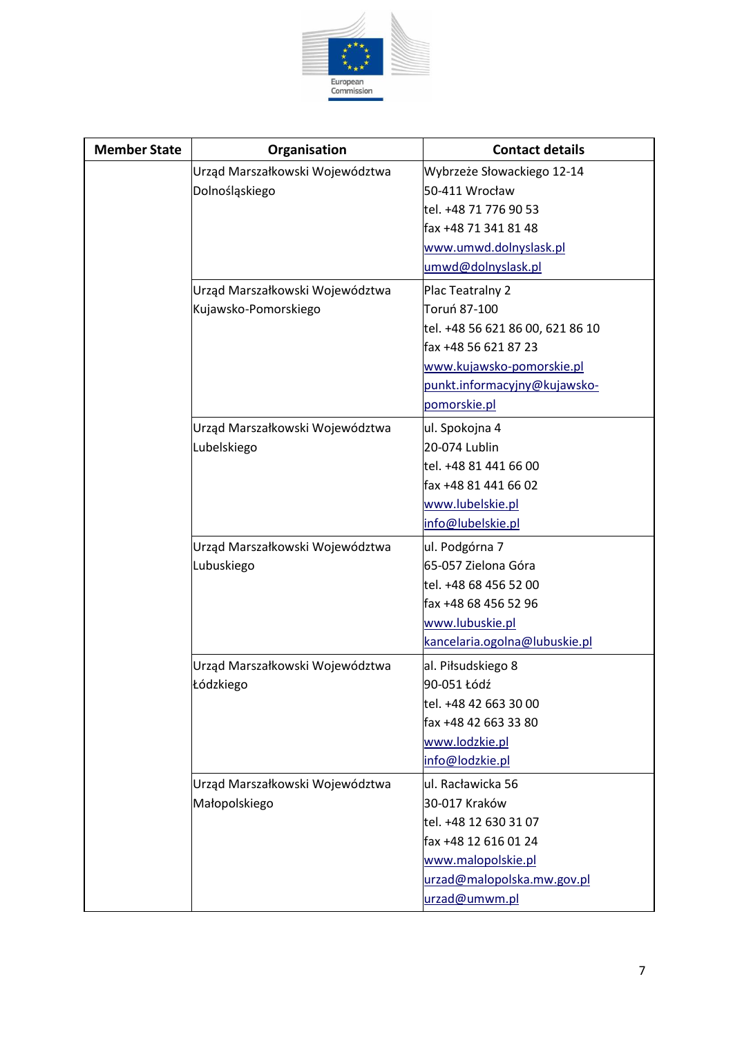

| <b>Member State</b> | Organisation                    | <b>Contact details</b>           |
|---------------------|---------------------------------|----------------------------------|
|                     | Urząd Marszałkowski Województwa | Wybrzeże Słowackiego 12-14       |
|                     | Dolnośląskiego                  | 50-411 Wrocław                   |
|                     |                                 | tel. +48 71 776 90 53            |
|                     |                                 | fax +48 71 341 81 48             |
|                     |                                 | www.umwd.dolnyslask.pl           |
|                     |                                 | umwd@dolnyslask.pl               |
|                     | Urząd Marszałkowski Województwa | Plac Teatralny 2                 |
|                     | Kujawsko-Pomorskiego            | Toruń 87-100                     |
|                     |                                 | tel. +48 56 621 86 00, 621 86 10 |
|                     |                                 | fax +48 56 621 87 23             |
|                     |                                 | www.kujawsko-pomorskie.pl        |
|                     |                                 | punkt.informacyjny@kujawsko-     |
|                     |                                 | pomorskie.pl                     |
|                     | Urząd Marszałkowski Województwa | ul. Spokojna 4                   |
|                     | Lubelskiego                     | 20-074 Lublin                    |
|                     |                                 | tel. +48 81 441 66 00            |
|                     |                                 | fax +48 81 441 66 02             |
|                     |                                 | www.lubelskie.pl                 |
|                     |                                 | info@lubelskie.pl                |
|                     | Urząd Marszałkowski Województwa | ul. Podgórna 7                   |
|                     | Lubuskiego                      | 65-057 Zielona Góra              |
|                     |                                 | tel. +48 68 456 52 00            |
|                     |                                 | fax +48 68 456 52 96             |
|                     |                                 | www.lubuskie.pl                  |
|                     |                                 | kancelaria.ogolna@lubuskie.pl    |
|                     | Urząd Marszałkowski Województwa | al. Piłsudskiego 8               |
|                     | Łódzkiego                       | 90-051 Łódź                      |
|                     |                                 | tel. +48 42 663 30 00            |
|                     |                                 | fax +48 42 663 33 80             |
|                     |                                 | www.lodzkie.pl                   |
|                     |                                 | info@lodzkie.pl                  |
|                     | Urząd Marszałkowski Województwa | ul. Racławicka 56                |
|                     | Małopolskiego                   | 30-017 Kraków                    |
|                     |                                 | tel. +48 12 630 31 07            |
|                     |                                 | fax +48 12 616 01 24             |
|                     |                                 | www.malopolskie.pl               |
|                     |                                 | urzad@malopolska.mw.gov.pl       |
|                     |                                 | urzad@umwm.pl                    |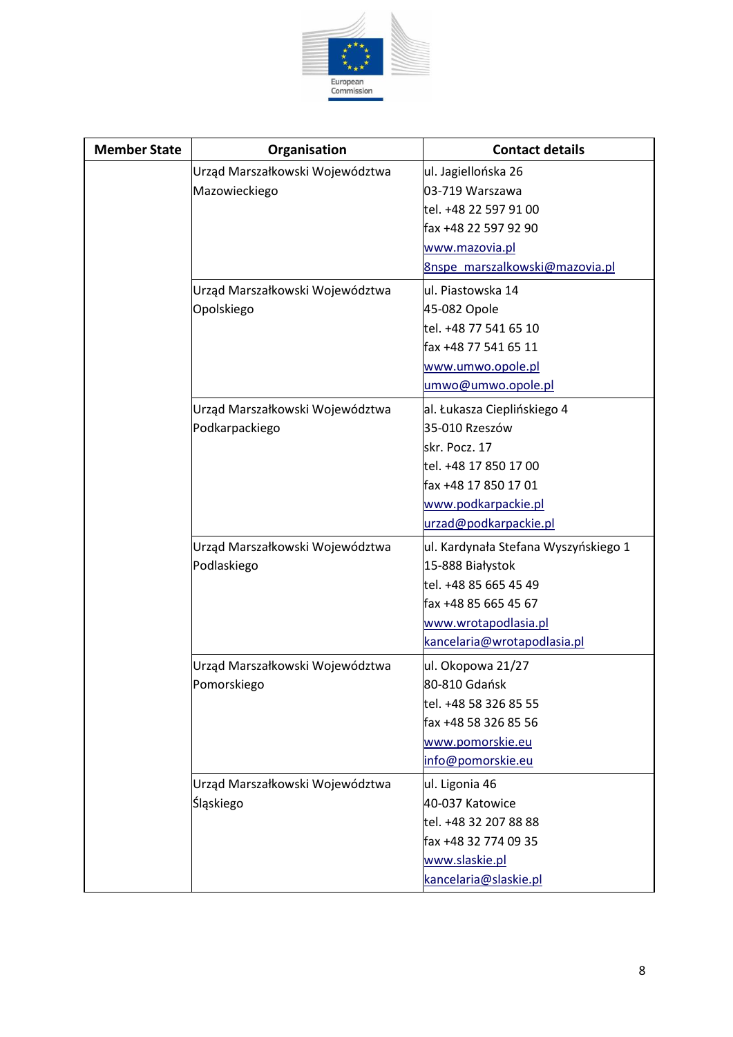

| <b>Member State</b> | Organisation                    | <b>Contact details</b>               |
|---------------------|---------------------------------|--------------------------------------|
|                     | Urząd Marszałkowski Województwa | ul. Jagiellońska 26                  |
|                     | Mazowieckiego                   | 03-719 Warszawa                      |
|                     |                                 | tel. +48 22 597 91 00                |
|                     |                                 | fax +48 22 597 92 90                 |
|                     |                                 | www.mazovia.pl                       |
|                     |                                 | 8nspe marszalkowski@mazovia.pl       |
|                     | Urząd Marszałkowski Województwa | ul. Piastowska 14                    |
|                     | Opolskiego                      | 45-082 Opole                         |
|                     |                                 | tel. +48 77 541 65 10                |
|                     |                                 | fax +48 77 541 65 11                 |
|                     |                                 | www.umwo.opole.pl                    |
|                     |                                 | umwo@umwo.opole.pl                   |
|                     | Urząd Marszałkowski Województwa | al. Łukasza Cieplińskiego 4          |
|                     | Podkarpackiego                  | 35-010 Rzeszów                       |
|                     |                                 | skr. Pocz. 17                        |
|                     |                                 | tel. +48 17 850 17 00                |
|                     |                                 | fax +48 17 850 17 01                 |
|                     |                                 | www.podkarpackie.pl                  |
|                     |                                 | urzad@podkarpackie.pl                |
|                     | Urząd Marszałkowski Województwa | ul. Kardynała Stefana Wyszyńskiego 1 |
|                     | Podlaskiego                     | 15-888 Białystok                     |
|                     |                                 | tel. +48 85 665 45 49                |
|                     |                                 | fax +48 85 665 45 67                 |
|                     |                                 | www.wrotapodlasia.pl                 |
|                     |                                 | kancelaria@wrotapodlasia.pl          |
|                     | Urząd Marszałkowski Województwa | ul. Okopowa 21/27                    |
|                     | Pomorskiego                     | 80-810 Gdańsk                        |
|                     |                                 | tel. +48 58 326 85 55                |
|                     |                                 | fax +48 58 326 85 56                 |
|                     |                                 | www.pomorskie.eu                     |
|                     |                                 | info@pomorskie.eu                    |
|                     | Urząd Marszałkowski Województwa | ul. Ligonia 46                       |
|                     | Śląskiego                       | 40-037 Katowice                      |
|                     |                                 | tel. +48 32 207 88 88                |
|                     |                                 | fax +48 32 774 09 35                 |
|                     |                                 | www.slaskie.pl                       |
|                     |                                 | kancelaria@slaskie.pl                |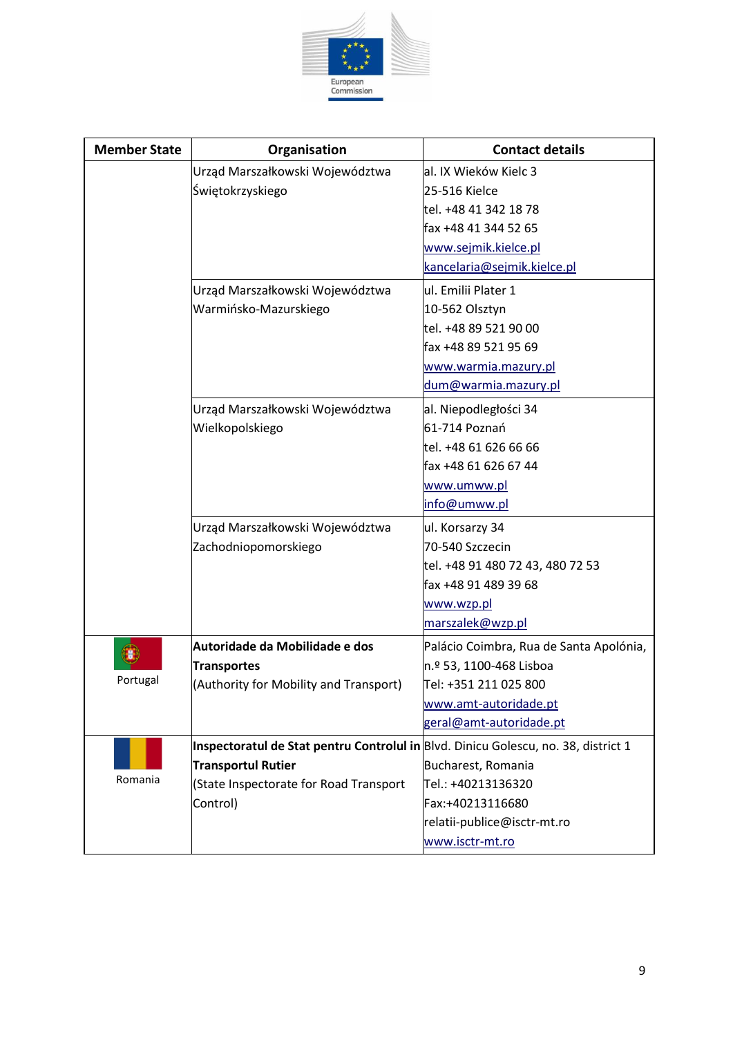

| <b>Member State</b> | Organisation                                                                       | <b>Contact details</b>                  |
|---------------------|------------------------------------------------------------------------------------|-----------------------------------------|
|                     | Urząd Marszałkowski Województwa                                                    | al. IX Wieków Kielc 3                   |
|                     | Świętokrzyskiego                                                                   | 25-516 Kielce                           |
|                     |                                                                                    | tel. +48 41 342 18 78                   |
|                     |                                                                                    | fax +48 41 344 52 65                    |
|                     |                                                                                    | www.sejmik.kielce.pl                    |
|                     |                                                                                    | kancelaria@sejmik.kielce.pl             |
|                     | Urząd Marszałkowski Województwa                                                    | ul. Emilii Plater 1                     |
|                     | Warmińsko-Mazurskiego                                                              | 10-562 Olsztyn                          |
|                     |                                                                                    | tel. +48 89 521 90 00                   |
|                     |                                                                                    | fax +48 89 521 95 69                    |
|                     |                                                                                    | www.warmia.mazury.pl                    |
|                     |                                                                                    | dum@warmia.mazury.pl                    |
|                     | Urząd Marszałkowski Województwa                                                    | al. Niepodległości 34                   |
|                     | Wielkopolskiego                                                                    | 61-714 Poznań                           |
|                     |                                                                                    | tel. +48 61 626 66 66                   |
|                     |                                                                                    | fax +48 61 626 67 44                    |
|                     |                                                                                    | www.umww.pl                             |
|                     |                                                                                    | info@umww.pl                            |
|                     | Urząd Marszałkowski Województwa                                                    | ul. Korsarzy 34                         |
|                     | Zachodniopomorskiego                                                               | 70-540 Szczecin                         |
|                     |                                                                                    | tel. +48 91 480 72 43, 480 72 53        |
|                     |                                                                                    | fax +48 91 489 39 68                    |
|                     |                                                                                    | www.wzp.pl                              |
|                     |                                                                                    | marszalek@wzp.pl                        |
|                     | Autoridade da Mobilidade e dos                                                     | Palácio Coimbra, Rua de Santa Apolónia, |
|                     | <b>Transportes</b>                                                                 | n.º 53, 1100-468 Lisboa                 |
| Portugal            | (Authority for Mobility and Transport)                                             | Tel: +351 211 025 800                   |
|                     |                                                                                    | www.amt-autoridade.pt                   |
|                     |                                                                                    | geral@amt-autoridade.pt                 |
|                     | Inspectoratul de Stat pentru Controlul in Blvd. Dinicu Golescu, no. 38, district 1 |                                         |
|                     | <b>Transportul Rutier</b>                                                          | Bucharest, Romania                      |
| Romania             | (State Inspectorate for Road Transport                                             | Tel.: +40213136320                      |
|                     | Control)                                                                           | Fax:+40213116680                        |
|                     |                                                                                    | relatii-publice@isctr-mt.ro             |
|                     |                                                                                    | www.isctr-mt.ro                         |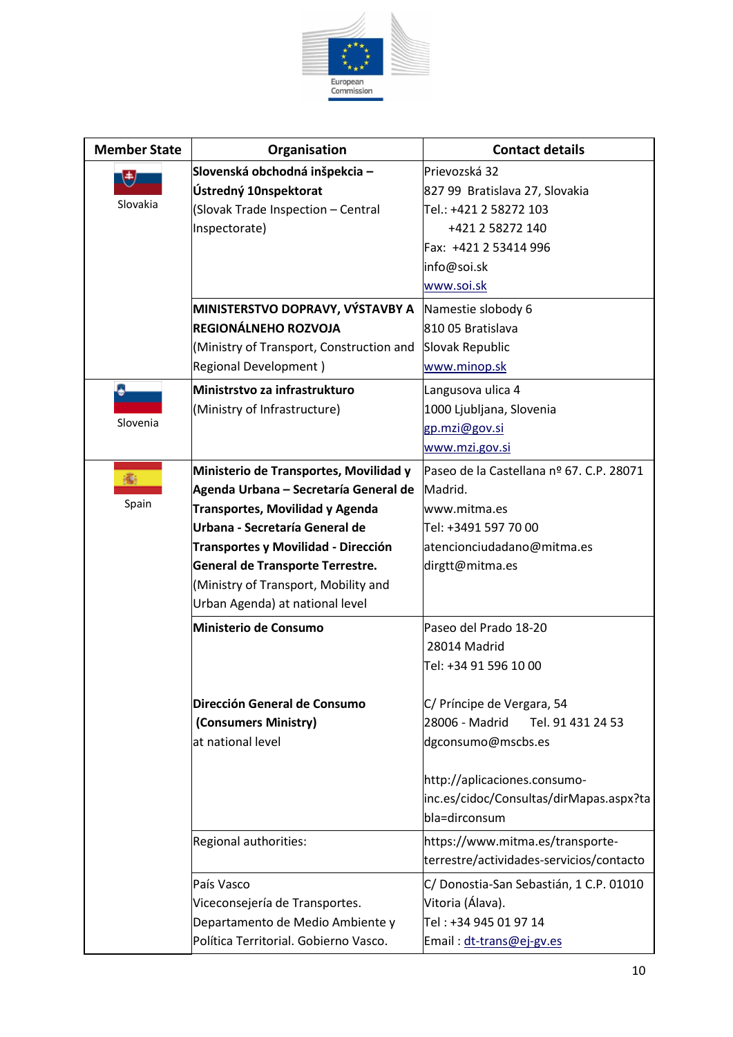

| <b>Member State</b> | Organisation                              | <b>Contact details</b>                   |
|---------------------|-------------------------------------------|------------------------------------------|
| 电                   | Slovenská obchodná inšpekcia –            | Prievozská 32                            |
|                     | Ústredný 10nspektorat                     | 827 99 Bratislava 27, Slovakia           |
| Slovakia            | (Slovak Trade Inspection - Central        | Tel.: +421 2 58272 103                   |
|                     | Inspectorate)                             | +421 2 58272 140                         |
|                     |                                           | Fax: +421 2 53414 996                    |
|                     |                                           | info@soi.sk                              |
|                     |                                           | www.soi.sk                               |
|                     | MINISTERSTVO DOPRAVY, VÝSTAVBY A          | Namestie slobody 6                       |
|                     | <b>REGIONÁLNEHO ROZVOJA</b>               | 810 05 Bratislava                        |
|                     | (Ministry of Transport, Construction and  | Slovak Republic                          |
|                     | <b>Regional Development)</b>              | www.minop.sk                             |
|                     | Ministrstvo za infrastrukturo             | Langusova ulica 4                        |
|                     | (Ministry of Infrastructure)              | 1000 Ljubljana, Slovenia                 |
| Slovenia            |                                           | gp.mzi@gov.si                            |
|                     |                                           | www.mzi.gov.si                           |
|                     | Ministerio de Transportes, Movilidad y    | Paseo de la Castellana nº 67. C.P. 28071 |
|                     | Agenda Urbana - Secretaría General de     | Madrid.                                  |
| Spain               | <b>Transportes, Movilidad y Agenda</b>    | www.mitma.es                             |
|                     | Urbana - Secretaría General de            | Tel: +3491 597 70 00                     |
|                     | Transportes y Movilidad - Dirección       | atencionciudadano@mitma.es               |
|                     | General de Transporte Terrestre.          | dirgtt@mitma.es                          |
|                     | (Ministry of Transport, Mobility and      |                                          |
|                     | Urban Agenda) at national level           |                                          |
|                     | Ministerio de Consumo                     | Paseo del Prado 18-20                    |
|                     |                                           | 28014 Madrid                             |
|                     |                                           | Tel: +34 91 596 10 00                    |
|                     |                                           |                                          |
|                     | Dirección General de Consumo              | C/ Príncipe de Vergara, 54               |
|                     | (Consumers Ministry)<br>at national level | 28006 - Madrid<br>Tel. 91 431 24 53      |
|                     |                                           | dgconsumo@mscbs.es                       |
|                     |                                           | http://aplicaciones.consumo-             |
|                     |                                           | inc.es/cidoc/Consultas/dirMapas.aspx?ta  |
|                     |                                           | bla=dirconsum                            |
|                     | Regional authorities:                     | https://www.mitma.es/transporte-         |
|                     |                                           | terrestre/actividades-servicios/contacto |
|                     | País Vasco                                | C/ Donostia-San Sebastián, 1 C.P. 01010  |
|                     | Viceconsejería de Transportes.            | Vitoria (Álava).                         |
|                     | Departamento de Medio Ambiente y          | Tel: +34 945 01 97 14                    |
|                     | Política Territorial. Gobierno Vasco.     | Email: dt-trans@ej-gv.es                 |
|                     |                                           |                                          |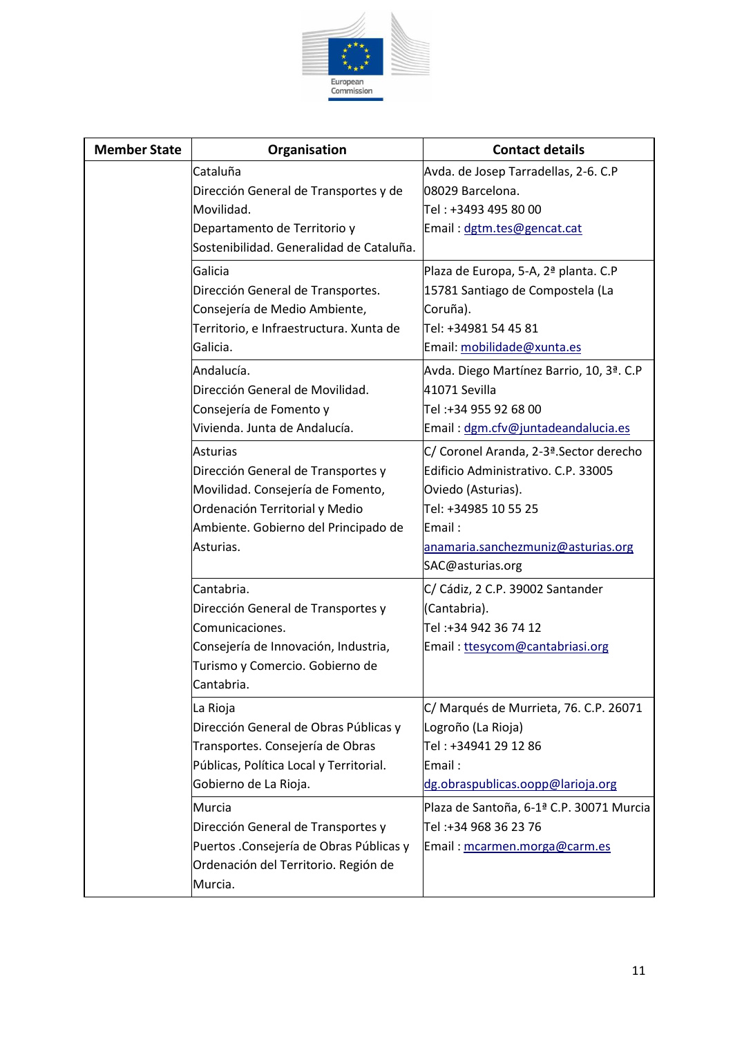

| <b>Member State</b> | Organisation                                      | <b>Contact details</b>                                   |
|---------------------|---------------------------------------------------|----------------------------------------------------------|
|                     | Cataluña<br>Dirección General de Transportes y de | Avda. de Josep Tarradellas, 2-6. C.P<br>08029 Barcelona. |
|                     | Movilidad.                                        | Tel: +3493 495 80 00                                     |
|                     | Departamento de Territorio y                      | Email: dgtm.tes@gencat.cat                               |
|                     | Sostenibilidad. Generalidad de Cataluña.          |                                                          |
|                     | Galicia                                           | Plaza de Europa, 5-A, 2ª planta. C.P                     |
|                     | Dirección General de Transportes.                 | 15781 Santiago de Compostela (La                         |
|                     | Consejería de Medio Ambiente,                     | Coruña).                                                 |
|                     | Territorio, e Infraestructura. Xunta de           | Tel: +34981 54 45 81                                     |
|                     | Galicia.                                          | Email: mobilidade@xunta.es                               |
|                     | Andalucía.                                        | Avda. Diego Martínez Barrio, 10, 3ª. C.P                 |
|                     | Dirección General de Movilidad.                   | 41071 Sevilla                                            |
|                     | Consejería de Fomento y                           | Tel:+34 955 92 68 00                                     |
|                     | Vivienda. Junta de Andalucía.                     | Email: dgm.cfv@juntadeandalucia.es                       |
|                     | <b>Asturias</b>                                   | C/ Coronel Aranda, 2-3ª Sector derecho                   |
|                     | Dirección General de Transportes y                | Edificio Administrativo. C.P. 33005                      |
|                     | Movilidad. Consejería de Fomento,                 | Oviedo (Asturias).                                       |
|                     | Ordenación Territorial y Medio                    | Tel: +34985 10 55 25                                     |
|                     | Ambiente. Gobierno del Principado de              | Email:                                                   |
|                     | Asturias.                                         | anamaria.sanchezmuniz@asturias.org                       |
|                     |                                                   | SAC@asturias.org                                         |
|                     | Cantabria.                                        | C/ Cádiz, 2 C.P. 39002 Santander                         |
|                     | Dirección General de Transportes y                | (Cantabria).                                             |
|                     | Comunicaciones.                                   | Tel:+34 942 36 74 12                                     |
|                     | Consejería de Innovación, Industria,              | Email: ttesycom@cantabriasi.org                          |
|                     | Turismo y Comercio. Gobierno de                   |                                                          |
|                     | Cantabria.                                        |                                                          |
|                     | La Rioja                                          | C/Marqués de Murrieta, 76. C.P. 26071                    |
|                     | Dirección General de Obras Públicas y             | Logroño (La Rioja)                                       |
|                     | Transportes. Consejería de Obras                  | Tel: +34941 29 12 86                                     |
|                     | Públicas, Política Local y Territorial.           | Email:                                                   |
|                     | Gobierno de La Rioja.                             | dg.obraspublicas.oopp@larioja.org                        |
|                     | Murcia                                            | Plaza de Santoña, 6-1ª C.P. 30071 Murcia                 |
|                     | Dirección General de Transportes y                | Tel:+34 968 36 23 76                                     |
|                     | Puertos .Consejería de Obras Públicas y           | Email: mcarmen.morga@carm.es                             |
|                     | Ordenación del Territorio. Región de              |                                                          |
|                     | Murcia.                                           |                                                          |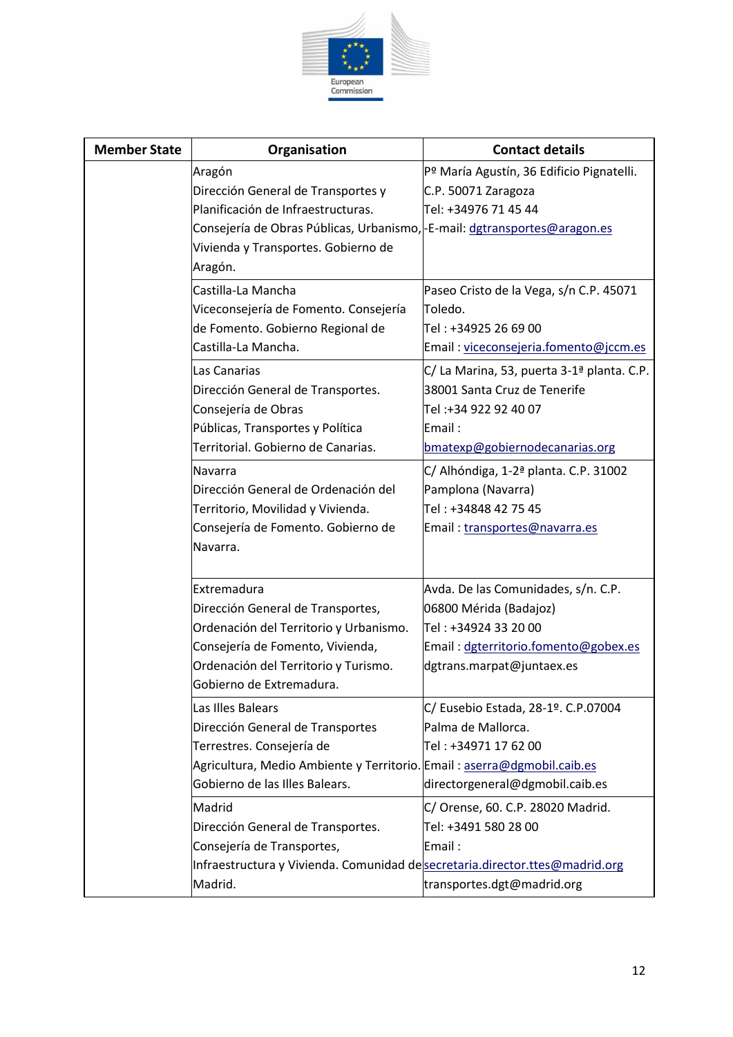

| <b>Member State</b> | Organisation                                                                        | <b>Contact details</b>                                 |
|---------------------|-------------------------------------------------------------------------------------|--------------------------------------------------------|
|                     | Aragón                                                                              | Pº María Agustín, 36 Edificio Pignatelli.              |
|                     | Dirección General de Transportes y                                                  | C.P. 50071 Zaragoza                                    |
|                     | Planificación de Infraestructuras.                                                  | Tel: +34976 71 45 44                                   |
|                     | Consejería de Obras Públicas, Urbanismo, - E-mail: dgtransportes@aragon.es          |                                                        |
|                     | Vivienda y Transportes. Gobierno de                                                 |                                                        |
|                     | Aragón.                                                                             |                                                        |
|                     | Castilla-La Mancha                                                                  | Paseo Cristo de la Vega, s/n C.P. 45071                |
|                     | Viceconsejería de Fomento. Consejería                                               | Toledo.                                                |
|                     | de Fomento. Gobierno Regional de                                                    | Tel: +34925 26 69 00                                   |
|                     | Castilla-La Mancha.                                                                 | Email: viceconsejeria.fomento@jccm.es                  |
|                     | Las Canarias                                                                        | C/ La Marina, 53, puerta 3-1 <sup>ª</sup> planta. C.P. |
|                     | Dirección General de Transportes.                                                   | 38001 Santa Cruz de Tenerife                           |
|                     | Consejería de Obras                                                                 | Tel :+34 922 92 40 07                                  |
|                     | Públicas, Transportes y Política                                                    | Email:                                                 |
|                     | Territorial. Gobierno de Canarias.                                                  | bmatexp@gobiernodecanarias.org                         |
|                     | Navarra                                                                             | C/ Alhóndiga, 1-2 <sup>ª</sup> planta. C.P. 31002      |
|                     | Dirección General de Ordenación del                                                 | Pamplona (Navarra)                                     |
|                     | Territorio, Movilidad y Vivienda.                                                   | Tel: +34848 42 75 45                                   |
|                     | Consejería de Fomento. Gobierno de                                                  | Email: transportes@navarra.es                          |
|                     | Navarra.                                                                            |                                                        |
|                     |                                                                                     |                                                        |
|                     | Extremadura                                                                         | Avda. De las Comunidades, s/n. C.P.                    |
|                     | Dirección General de Transportes,                                                   | 06800 Mérida (Badajoz)                                 |
|                     | Ordenación del Territorio y Urbanismo.                                              | Tel : +34924 33 20 00                                  |
|                     | Consejería de Fomento, Vivienda,                                                    | Email: dgterritorio.fomento@gobex.es                   |
|                     | Ordenación del Territorio y Turismo.                                                | dgtrans.marpat@juntaex.es                              |
|                     | lGobierno de Extremadura.                                                           |                                                        |
|                     | Las Illes Balears                                                                   | C/ Eusebio Estada, 28-1º. C.P.07004                    |
|                     | Dirección General de Transportes                                                    | Palma de Mallorca.                                     |
|                     | Terrestres. Consejería de                                                           | Tel: +34971 17 62 00                                   |
|                     | Agricultura, Medio Ambiente y Territorio. Email: aserra@dgmobil.caib.es             |                                                        |
|                     | Gobierno de las Illes Balears.                                                      | directorgeneral@dgmobil.caib.es                        |
|                     | Madrid                                                                              | C/ Orense, 60. C.P. 28020 Madrid.                      |
|                     | Dirección General de Transportes.                                                   | Tel: +3491 580 28 00                                   |
|                     | Consejería de Transportes,                                                          | Email :                                                |
|                     | Infraestructura y Vivienda. Comunidad de <b>secretaria.director.ttes@madrid.org</b> |                                                        |
|                     | Madrid.                                                                             | transportes.dgt@madrid.org                             |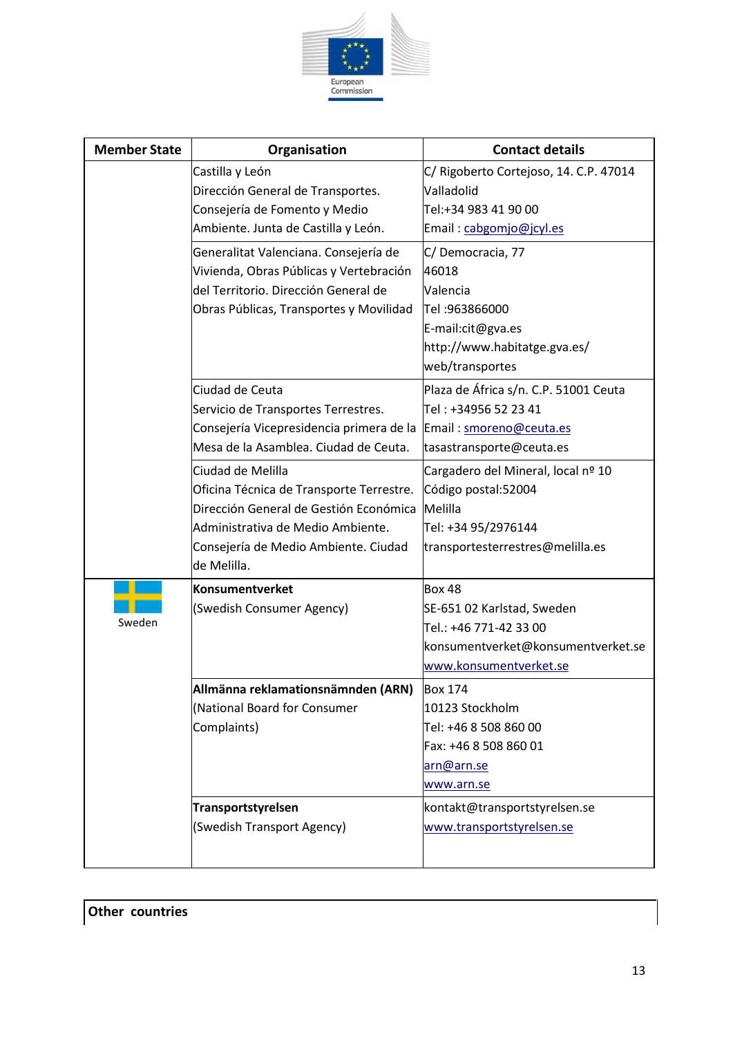

| <b>Member State</b> | Organisation                                                      | <b>Contact details</b>                 |
|---------------------|-------------------------------------------------------------------|----------------------------------------|
|                     | Castilla y León                                                   | C/ Rigoberto Cortejoso, 14. C.P. 47014 |
|                     | Dirección General de Transportes.                                 | Valladolid                             |
|                     | Consejería de Fomento y Medio                                     | Tel:+34 983 41 90 00                   |
|                     | Ambiente. Junta de Castilla y León.                               | Email: cabgomjo@jcyl.es                |
|                     | Generalitat Valenciana. Consejería de                             | C/Democracia, 77                       |
|                     | Vivienda, Obras Públicas y Vertebración                           | 46018                                  |
|                     | del Territorio. Dirección General de                              | Valencia                               |
|                     | Obras Públicas, Transportes y Movilidad                           | Tel: 963866000                         |
|                     |                                                                   | E-mail:cit@gva.es                      |
|                     |                                                                   | http://www.habitatge.gva.es/           |
|                     |                                                                   | web/transportes                        |
|                     | Ciudad de Ceuta                                                   | Plaza de África s/n. C.P. 51001 Ceuta  |
|                     | Servicio de Transportes Terrestres.                               | Tel: +34956 52 23 41                   |
|                     | Consejería Vicepresidencia primera de la Email : smoreno@ceuta.es |                                        |
|                     | Mesa de la Asamblea. Ciudad de Ceuta.                             | tasastransporte@ceuta.es               |
|                     | Ciudad de Melilla                                                 | Cargadero del Mineral, local nº 10     |
|                     | Oficina Técnica de Transporte Terrestre.                          | Código postal:52004                    |
|                     | Dirección General de Gestión Económica                            | Melilla                                |
|                     | Administrativa de Medio Ambiente.                                 | Tel: +34 95/2976144                    |
|                     | Consejería de Medio Ambiente. Ciudad                              | transportesterrestres@melilla.es       |
|                     | de Melilla.                                                       |                                        |
|                     | <b>Konsumentverket</b>                                            | Box 48                                 |
| Sweden              | (Swedish Consumer Agency)                                         | SE-651 02 Karlstad, Sweden             |
|                     |                                                                   | Tel.: +46 771-42 33 00                 |
|                     |                                                                   | konsumentverket@konsumentverket.se     |
|                     |                                                                   | www.konsumentverket.se                 |
|                     | Allmänna reklamationsnämnden (ARN)                                | <b>Box 174</b>                         |
|                     | (National Board for Consumer                                      | 10123 Stockholm                        |
|                     | Complaints)                                                       | Tel: +46 8 508 860 00                  |
|                     |                                                                   | Fax: +46 8 508 860 01                  |
|                     |                                                                   | arn@arn.se                             |
|                     |                                                                   | www.arn.se                             |
|                     | Transportstyrelsen                                                | kontakt@transportstyrelsen.se          |
|                     | (Swedish Transport Agency)                                        | www.transportstyrelsen.se              |
|                     |                                                                   |                                        |
|                     |                                                                   |                                        |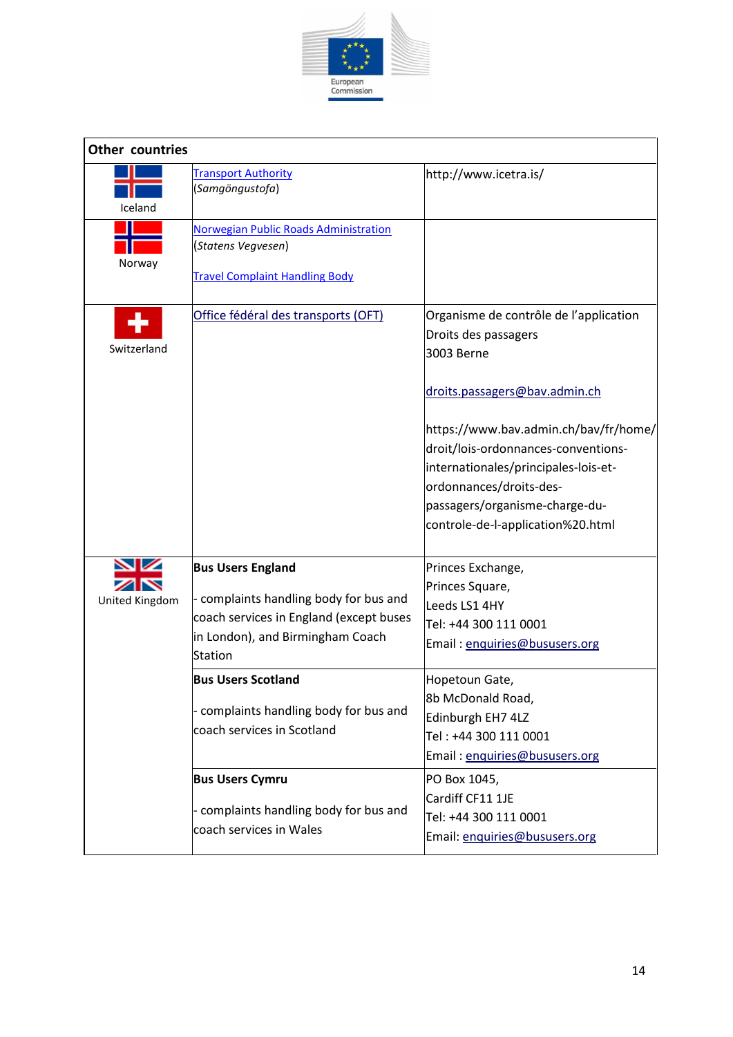

| <b>Other countries</b> |                                                                                                                                                                     |                                                                                                                                                                                                                                                                                                                                         |  |
|------------------------|---------------------------------------------------------------------------------------------------------------------------------------------------------------------|-----------------------------------------------------------------------------------------------------------------------------------------------------------------------------------------------------------------------------------------------------------------------------------------------------------------------------------------|--|
| Iceland                | <b>Transport Authority</b><br>(Samgöngustofa)                                                                                                                       | http://www.icetra.is/                                                                                                                                                                                                                                                                                                                   |  |
| Norway                 | Norwegian Public Roads Administration<br>(Statens Vegvesen)<br><b>Travel Complaint Handling Body</b>                                                                |                                                                                                                                                                                                                                                                                                                                         |  |
| Switzerland            | Office fédéral des transports (OFT)                                                                                                                                 | Organisme de contrôle de l'application<br>Droits des passagers<br>3003 Berne<br>droits.passagers@bav.admin.ch<br>https://www.bav.admin.ch/bav/fr/home/<br>droit/lois-ordonnances-conventions-<br>internationales/principales-lois-et-<br>ordonnances/droits-des-<br>passagers/organisme-charge-du-<br>controle-de-l-application%20.html |  |
| United Kingdom         | <b>Bus Users England</b><br>- complaints handling body for bus and<br>coach services in England (except buses<br>in London), and Birmingham Coach<br><b>Station</b> | Princes Exchange,<br>Princes Square,<br>Leeds LS1 4HY<br>Tel: +44 300 111 0001<br>Email: enquiries@bususers.org                                                                                                                                                                                                                         |  |
|                        | <b>Bus Users Scotland</b><br>- complaints handling body for bus and<br>coach services in Scotland                                                                   | Hopetoun Gate,<br>8b McDonald Road,<br>Edinburgh EH7 4LZ<br>Tel: +44 300 111 0001<br>Email: enquiries@bususers.org                                                                                                                                                                                                                      |  |
|                        | <b>Bus Users Cymru</b><br>- complaints handling body for bus and<br>coach services in Wales                                                                         | PO Box 1045,<br>Cardiff CF11 1JE<br>Tel: +44 300 111 0001<br>Email: enquiries@bususers.org                                                                                                                                                                                                                                              |  |